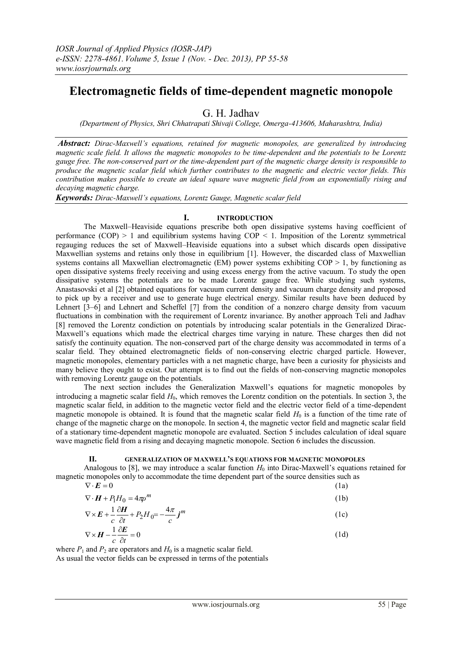# **Electromagnetic fields of time-dependent magnetic monopole**

G. H. Jadhav

*(Department of Physics, Shri Chhatrapati Shivaji College, Omerga-413606, Maharashtra, India)*

*Abstract: Dirac-Maxwell's equations, retained for magnetic monopoles, are generalized by introducing magnetic scale field. It allows the magnetic monopoles to be time-dependent and the potentials to be Lorentz gauge free. The non-conserved part or the time-dependent part of the magnetic charge density is responsible to produce the magnetic scalar field which further contributes to the magnetic and electric vector fields. This contribution makes possible to create an ideal square wave magnetic field from an exponentially rising and decaying magnetic charge.*

*Keywords: Dirac-Maxwell's equations, Lorentz Gauge, Magnetic scalar field*

# **I. INTRODUCTION**

The Maxwell–Heaviside equations prescribe both open dissipative systems having coefficient of performance  $(COP) > 1$  and equilibrium systems having  $COP < 1$ . Imposition of the Lorentz symmetrical regauging reduces the set of Maxwell–Heaviside equations into a subset which discards open dissipative Maxwellian systems and retains only those in equilibrium [1]. However, the discarded class of Maxwellian systems contains all Maxwellian electromagnetic (EM) power systems exhibiting  $COP > 1$ , by functioning as open dissipative systems freely receiving and using excess energy from the active vacuum. To study the open dissipative systems the potentials are to be made Lorentz gauge free. While studying such systems, Anastasovski et al [2] obtained equations for vacuum current density and vacuum charge density and proposed to pick up by a receiver and use to generate huge electrical energy. Similar results have been deduced by Lehnert [3–6] and Lehnert and Scheffel [7] from the condition of a nonzero charge density from vacuum fluctuations in combination with the requirement of Lorentz invariance. By another approach Teli and Jadhav [8] removed the Lorentz condiction on potentials by introducing scalar potentials in the Generalized Dirac-Maxwell's equations which made the electrical charges time varying in nature. These charges then did not satisfy the continuity equation. The non-conserved part of the charge density was accommodated in terms of a scalar field. They obtained electromagnetic fields of non-conserving electric charged particle. However, magnetic monopoles, elementary particles with a net magnetic charge, have been a curiosity for physicists and many believe they ought to exist. Our attempt is to find out the fields of non-conserving magnetic monopoles with removing Lorentz gauge on the potentials.

The next section includes the Generalization Maxwell's equations for magnetic monopoles by introducing a magnetic scalar field  $H_0$ , which removes the Lorentz condition on the potentials. In section 3, the magnetic scalar field, in addition to the magnetic vector field and the electric vector field of a time-dependent magnetic monopole is obtained. It is found that the magnetic scalar field  $H_0$  is a function of the time rate of change of the magnetic charge on the monopole. In section 4, the magnetic vector field and magnetic scalar field of a stationary time-dependent magnetic monopole are evaluated. Section 5 includes calculation of ideal square wave magnetic field from a rising and decaying magnetic monopole. Section 6 includes the discussion.

## **II. GENERALIZATION OF MAXWELL'S EQUATIONS FOR MAGNETIC MONOPOLES**

Analogous to [8], we may introduce a scalar function  $H_0$  into Dirac-Maxwell's equations retained for magnetic monopoles only to accommodate the time dependent part of the source densities such as  $\nabla \cdot \vec{E} = 0$  $(1a)$ 

| $\mathbf{v}$ $\mathbf{v}$ $\mathbf{v}$              | (1u) |
|-----------------------------------------------------|------|
| $\nabla \cdot \boldsymbol{H} + P_1 H_0 = 4 \pi p^m$ | (1b) |

$$
\nabla \times \boldsymbol{E} + \frac{1}{2} \frac{\partial \boldsymbol{H}}{\partial t} + P_2 H_0 = -\frac{4\pi}{2} \boldsymbol{j}^m
$$
 (1c)

$$
\nabla \times \mathbf{H} - \frac{1}{c} \frac{\partial \mathbf{E}}{\partial t} = 0
$$
 (1d)

where  $P_1$  and  $P_2$  are operators and  $H_0$  is a magnetic scalar field.

As usual the vector fields can be expressed in terms of the potentials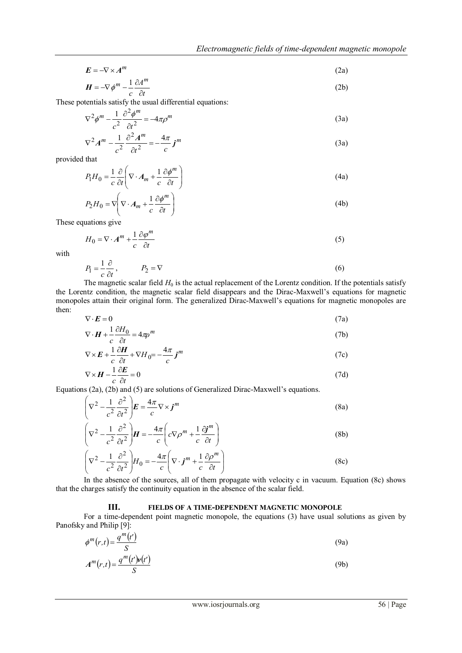$$
E = -\nabla \times A^m \tag{2a}
$$

$$
H = -\nabla \phi^m - \frac{1}{c} \frac{\partial A^m}{\partial t} \tag{2b}
$$

These potentials satisfy the usual differential equations:

$$
\nabla^2 \phi^m - \frac{1}{c^2} \frac{\partial^2 \phi^m}{\partial t^2} = -4\pi \rho^m
$$
 (3a)

$$
\nabla^2 A^m - \frac{1}{c^2} \frac{\partial^2 A^m}{\partial t^2} = -\frac{4\pi}{c} j^m \tag{3a}
$$

provided that

$$
P_1 H_0 = \frac{1}{c} \frac{\partial}{\partial t} \left( \nabla \cdot A_m + \frac{1}{c} \frac{\partial \phi^m}{\partial t} \right)
$$
(4a)

$$
P_2H_0 = \nabla \left( \nabla \cdot A_m + \frac{1}{c} \frac{\partial \phi^m}{\partial t} \right)
$$
(4b)

These equations give

$$
H_0 = \nabla \cdot A^m + \frac{1}{c} \frac{\partial \varphi^m}{\partial t} \tag{5}
$$

with

$$
P_1 = \frac{1}{c} \frac{\partial}{\partial t}, \qquad P_2 = \nabla \tag{6}
$$

The magnetic scalar field  $H_0$  is the actual replacement of the Lorentz condition. If the potentials satisfy the Lorentz condition, the magnetic scalar field disappears and the Dirac-Maxwell's equations for magnetic monopoles attain their original form. The generalized Dirac-Maxwell's equations for magnetic monopoles are then:

$$
\nabla \cdot \mathbf{E} = 0 \tag{7a}
$$
\n
$$
\nabla \cdot \mathbf{H} + \frac{1}{2} \partial H_0 = 4 \pi \omega^m \tag{7b}
$$

$$
\nabla \cdot \mathbf{H} + \frac{1}{c} \frac{\partial H}{\partial t} = 4\pi p^m
$$
 (7b)  

$$
\nabla \cdot \mathbf{F} + \frac{1}{c} \frac{\partial H}{\partial t} + \nabla H = 4\pi \cdot m
$$
 (7c)

$$
\nabla \times \mathbf{E} + \frac{1}{c} \frac{\partial \mathbf{H}}{\partial t} + \nabla H_0 = -\frac{4\pi}{c} \mathbf{j}^m
$$
(7c)

$$
\nabla \times \boldsymbol{H} - \frac{1}{c} \frac{\partial \boldsymbol{E}}{\partial t} = 0
$$
 (7d)

Equations (2a), (2b) and (5) are solutions of Generalized Dirac-Maxwell's equations.

$$
\left(\nabla^2 - \frac{1}{c^2} \frac{\partial^2}{\partial t^2}\right) \boldsymbol{E} = \frac{4\pi}{c} \nabla \times \boldsymbol{j}^m
$$
\n(8a)

$$
\left(\nabla^2 - \frac{1}{c^2} \frac{\partial^2}{\partial t^2}\right) \boldsymbol{H} = -\frac{4\pi}{c} \left(c \nabla \rho^m + \frac{1}{c} \frac{\partial \boldsymbol{j}^m}{\partial t}\right)
$$
(8b)

$$
\left(\nabla^2 - \frac{1}{c^2} \frac{\partial^2}{\partial t^2}\right) H_0 = -\frac{4\pi}{c} \left(\nabla \cdot \mathbf{j}^m + \frac{1}{c} \frac{\partial \rho^m}{\partial t}\right)
$$
(8c)

In the absence of the sources, all of them propagate with velocity c in vacuum. Equation (8c) shows that the charges satisfy the continuity equation in the absence of the scalar field.

# **III. FIELDS OF A TIME-DEPENDENT MAGNETIC MONOPOLE**

For a time-dependent point magnetic monopole, the equations (3) have usual solutions as given by Panofsky and Philip [9]:

$$
\phi^m(r,t) = \frac{q^m(t')}{S} \tag{9a}
$$

$$
A^{m}(r,t) = \frac{q^{m}(t')\mathfrak{v}(t')}{S}
$$
 (9b)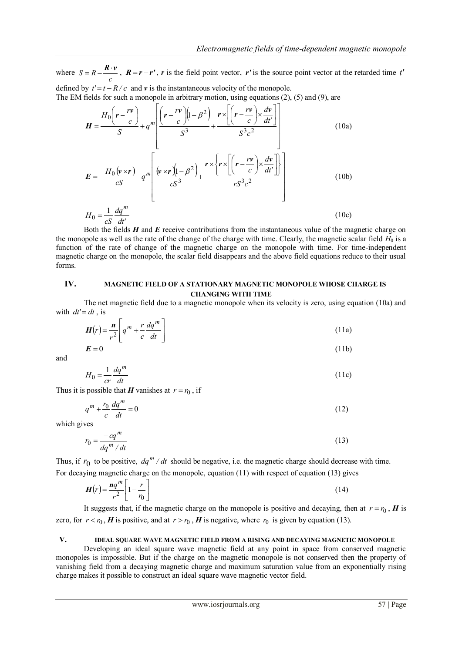$\overline{\phantom{a}}$ 

 $\frac{1}{2}$ 

where  $S = R - \frac{R \cdot v}{c}$ ,  $R = r - r'$ , *r* is the field point vector, *r'* is the source point vector at the retarded time *t'* defined by  $t' = t - R/c$  and  $v$  is the instantaneous velocity of the monopole.

The EM fields for such a monopole in arbitrary motion, using equations (2), (5) and (9), are

$$
H = \frac{H_0 \left(r - \frac{rv}{c}\right)}{S} + q^m \left[ \frac{\left(r - \frac{rv}{c}\right)\left(1 - \beta^2\right)}{S^3} + \frac{r \times \left[\left(r - \frac{rv}{c}\right) \times \frac{dv}{dt'}\right]}{S^3 c^2} \right]
$$
(10a)  

$$
E = -\frac{H_0 \left(v \times r\right)}{cS} - q^m \left[ \frac{\left(v \times r\right)\left(1 - \beta^2\right)}{cS^3} + \frac{r \times \left\{r \times \left[\left(r - \frac{rv}{c}\right) \times \frac{dv}{dt'}\right]\right\}}{rS^3 c^2} \right]
$$
(10b)

$$
H_0 = \frac{1}{cS} \frac{dq^m}{dt'}
$$
 (10c)

Both the fields *H* and *E* receive contributions from the instantaneous value of the magnetic charge on the monopole as well as the rate of the change of the charge with time. Clearly, the magnetic scalar field  $H_0$  is a function of the rate of change of the magnetic charge on the monopole with time. For time-independent magnetic charge on the monopole, the scalar field disappears and the above field equations reduce to their usual forms.

# **IV. MAGNETIC FIELD OF A STATIONARY MAGNETIC MONOPOLE WHOSE CHARGE IS CHANGING WITH TIME**

The net magnetic field due to a magnetic monopole when its velocity is zero, using equation (10a) and with  $dt' = dt$ , is

$$
H(r) = \frac{n}{r^2} \left[ q^m + \frac{r}{c} \frac{dq^m}{dt} \right]
$$
(11a)  

$$
E = 0
$$
(11b)

and

$$
H_0 = \frac{1}{cr} \frac{dq^m}{dt} \tag{11c}
$$

Thus it is possible that *H* vanishes at  $r = r_0$ , if

 $\mathsf{I}$ 

L

$$
q^m + \frac{r_0}{c} \frac{dq^m}{dt} = 0 \tag{12}
$$

which gives

$$
r_0 = \frac{-cq^m}{dq^m/dt} \tag{13}
$$

Thus, if  $r_0$  to be positive,  $dq^m / dt$  should be negative, i.e. the magnetic charge should decrease with time. For decaying magnetic charge on the monopole, equation (11) with respect of equation (13) gives

$$
H(r) = \frac{nq^m}{r^2} \left[ 1 - \frac{r}{r_0} \right] \tag{14}
$$

It suggests that, if the magnetic charge on the monopole is positive and decaying, then at  $r = r_0$ ,  $H$  is zero, for  $r < r_0$ , *H* is positive, and at  $r > r_0$ , *H* is negative, where  $r_0$  is given by equation (13).

## **V. IDEAL SQUARE WAVE MAGNETIC FIELD FROM A RISING AND DECAYING MAGNETIC MONOPOLE**

Developing an ideal square wave magnetic field at any point in space from conserved magnetic monopoles is impossible. But if the charge on the magnetic monopole is not conserved then the property of vanishing field from a decaying magnetic charge and maximum saturation value from an exponentially rising charge makes it possible to construct an ideal square wave magnetic vector field.